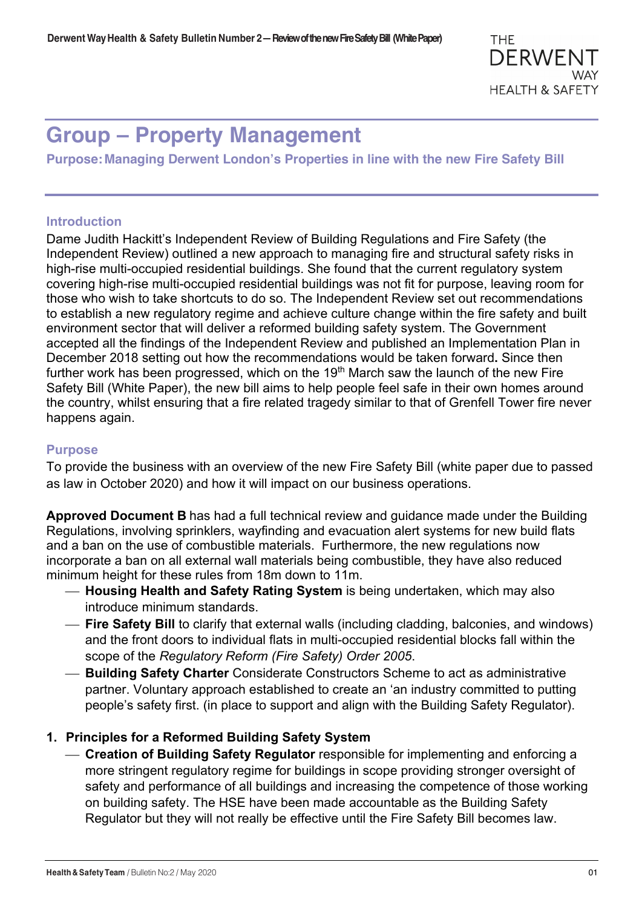# **Group – Property Management**

**Purpose:Managing Derwent London's Properties in line with the new Fire Safety Bill**

# **Introduction**

Dame Judith Hackitt's Independent Review of Building Regulations and Fire Safety (the Independent Review) outlined a new approach to managing fire and structural safety risks in high-rise multi-occupied residential buildings. She found that the current regulatory system covering high-rise multi-occupied residential buildings was not fit for purpose, leaving room for those who wish to take shortcuts to do so. The Independent Review set out recommendations to establish a new regulatory regime and achieve culture change within the fire safety and built environment sector that will deliver a reformed building safety system. The Government accepted all the findings of the Independent Review and published an Implementation Plan in December 2018 setting out how the recommendations would be taken forward**.** Since then further work has been progressed, which on the 19<sup>th</sup> March saw the launch of the new Fire Safety Bill (White Paper), the new bill aims to help people feel safe in their own homes around the country, whilst ensuring that a fire related tragedy similar to that of Grenfell Tower fire never happens again.

## **Purpose**

To provide the business with an overview of the new Fire Safety Bill (white paper due to passed as law in October 2020) and how it will impact on our business operations.

**Approved Document B** has had a full technical review and guidance made under the Building Regulations, involving sprinklers, wayfinding and evacuation alert systems for new build flats and a ban on the use of combustible materials. Furthermore, the new regulations now incorporate a ban on all external wall materials being combustible, they have also reduced minimum height for these rules from 18m down to 11m.

- ¾ **Housing Health and Safety Rating System** is being undertaken, which may also introduce minimum standards.
- ¾ **Fire Safety Bill** to clarify that external walls (including cladding, balconies, and windows) and the front doors to individual flats in multi-occupied residential blocks fall within the scope of the *Regulatory Reform (Fire Safety) Order 2005*.
- ¾ **Building Safety Charter** Considerate Constructors Scheme to act as administrative partner. Voluntary approach established to create an 'an industry committed to putting people's safety first. (in place to support and align with the Building Safety Regulator).

# **1. Principles for a Reformed Building Safety System**

¾ **Creation of Building Safety Regulator** responsible for implementing and enforcing a more stringent regulatory regime for buildings in scope providing stronger oversight of safety and performance of all buildings and increasing the competence of those working on building safety. The HSE have been made accountable as the Building Safety Regulator but they will not really be effective until the Fire Safety Bill becomes law.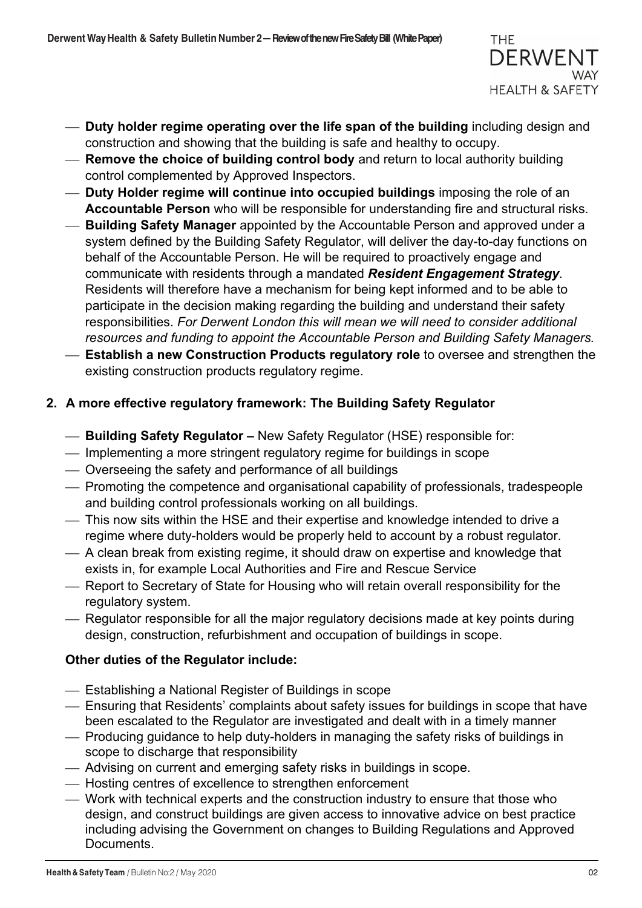

- ¾ **Duty holder regime operating over the life span of the building** including design and construction and showing that the building is safe and healthy to occupy.
- ¾ **Remove the choice of building control body** and return to local authority building control complemented by Approved Inspectors.
- ¾ **Duty Holder regime will continue into occupied buildings** imposing the role of an **Accountable Person** who will be responsible for understanding fire and structural risks.
- ¾ **Building Safety Manager** appointed by the Accountable Person and approved under a system defined by the Building Safety Regulator, will deliver the day-to-day functions on behalf of the Accountable Person. He will be required to proactively engage and communicate with residents through a mandated *Resident Engagement Strategy*. Residents will therefore have a mechanism for being kept informed and to be able to participate in the decision making regarding the building and understand their safety responsibilities. *For Derwent London this will mean we will need to consider additional resources and funding to appoint the Accountable Person and Building Safety Managers.*
- ¾ **Establish a new Construction Products regulatory role** to oversee and strengthen the existing construction products regulatory regime.

# **2. A more effective regulatory framework: The Building Safety Regulator**

- ¾ **Building Safety Regulator –** New Safety Regulator (HSE) responsible for:
- ¾ Implementing a more stringent regulatory regime for buildings in scope
- ¾ Overseeing the safety and performance of all buildings
- ¾ Promoting the competence and organisational capability of professionals, tradespeople and building control professionals working on all buildings.
- ¾ This now sits within the HSE and their expertise and knowledge intended to drive a regime where duty-holders would be properly held to account by a robust regulator.
- ¾ A clean break from existing regime, it should draw on expertise and knowledge that exists in, for example Local Authorities and Fire and Rescue Service
- ¾ Report to Secretary of State for Housing who will retain overall responsibility for the regulatory system.
- ¾ Regulator responsible for all the major regulatory decisions made at key points during design, construction, refurbishment and occupation of buildings in scope.

# **Other duties of the Regulator include:**

- ¾ Establishing a National Register of Buildings in scope
- ¾ Ensuring that Residents' complaints about safety issues for buildings in scope that have been escalated to the Regulator are investigated and dealt with in a timely manner
- ¾ Producing guidance to help duty-holders in managing the safety risks of buildings in scope to discharge that responsibility
- ¾ Advising on current and emerging safety risks in buildings in scope.
- ¾ Hosting centres of excellence to strengthen enforcement
- ¾ Work with technical experts and the construction industry to ensure that those who design, and construct buildings are given access to innovative advice on best practice including advising the Government on changes to Building Regulations and Approved Documents.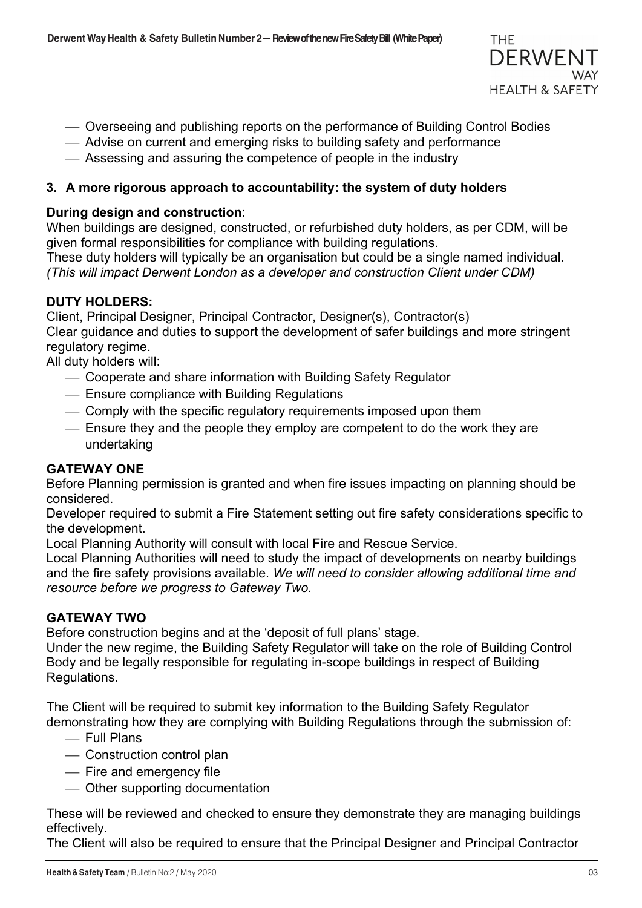

- ¾ Overseeing and publishing reports on the performance of Building Control Bodies
- ¾ Advise on current and emerging risks to building safety and performance
- ¾ Assessing and assuring the competence of people in the industry

## **3. A more rigorous approach to accountability: the system of duty holders**

## **During design and construction**:

When buildings are designed, constructed, or refurbished duty holders, as per CDM, will be given formal responsibilities for compliance with building regulations.

These duty holders will typically be an organisation but could be a single named individual. *(This will impact Derwent London as a developer and construction Client under CDM)*

#### **DUTY HOLDERS:**

Client, Principal Designer, Principal Contractor, Designer(s), Contractor(s) Clear guidance and duties to support the development of safer buildings and more stringent regulatory regime.

All duty holders will:

- ¾ Cooperate and share information with Building Safety Regulator
- ¾ Ensure compliance with Building Regulations
- ¾ Comply with the specific regulatory requirements imposed upon them
- ¾ Ensure they and the people they employ are competent to do the work they are undertaking

## **GATEWAY ONE**

Before Planning permission is granted and when fire issues impacting on planning should be considered.

Developer required to submit a Fire Statement setting out fire safety considerations specific to the development.

Local Planning Authority will consult with local Fire and Rescue Service.

Local Planning Authorities will need to study the impact of developments on nearby buildings and the fire safety provisions available. *We will need to consider allowing additional time and resource before we progress to Gateway Two.*

#### **GATEWAY TWO**

Before construction begins and at the 'deposit of full plans' stage.

Under the new regime, the Building Safety Regulator will take on the role of Building Control Body and be legally responsible for regulating in-scope buildings in respect of Building Regulations.

The Client will be required to submit key information to the Building Safety Regulator demonstrating how they are complying with Building Regulations through the submission of:

- ¾ Full Plans
- Construction control plan
- Fire and emergency file
- ¾ Other supporting documentation

These will be reviewed and checked to ensure they demonstrate they are managing buildings effectively.

The Client will also be required to ensure that the Principal Designer and Principal Contractor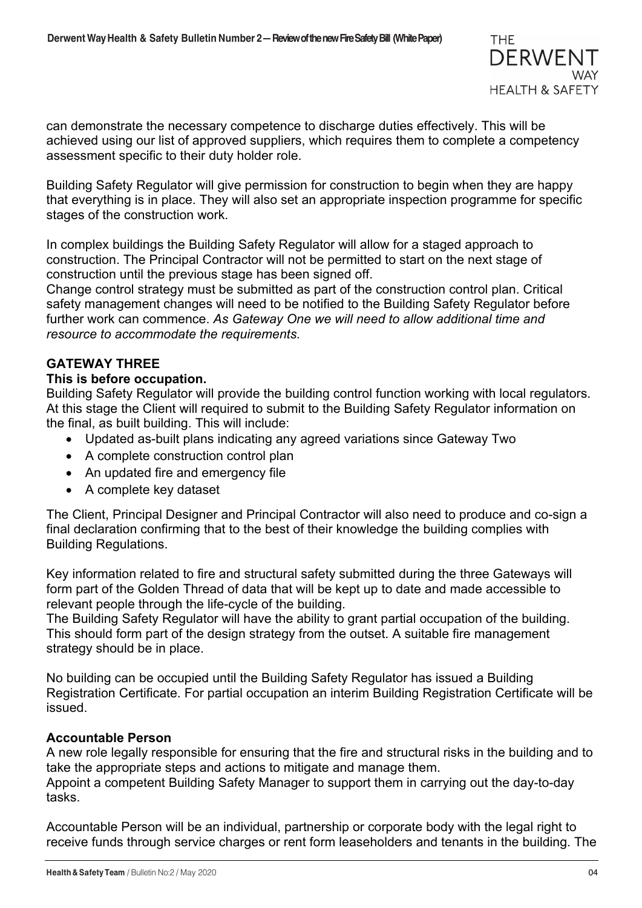

can demonstrate the necessary competence to discharge duties effectively. This will be achieved using our list of approved suppliers, which requires them to complete a competency assessment specific to their duty holder role.

Building Safety Regulator will give permission for construction to begin when they are happy that everything is in place. They will also set an appropriate inspection programme for specific stages of the construction work.

In complex buildings the Building Safety Regulator will allow for a staged approach to construction. The Principal Contractor will not be permitted to start on the next stage of construction until the previous stage has been signed off.

Change control strategy must be submitted as part of the construction control plan. Critical safety management changes will need to be notified to the Building Safety Regulator before further work can commence. *As Gateway One we will need to allow additional time and resource to accommodate the requirements.*

## **GATEWAY THREE**

#### **This is before occupation.**

Building Safety Regulator will provide the building control function working with local regulators. At this stage the Client will required to submit to the Building Safety Regulator information on the final, as built building. This will include:

- Updated as-built plans indicating any agreed variations since Gateway Two
- A complete construction control plan
- An updated fire and emergency file
- A complete key dataset

The Client, Principal Designer and Principal Contractor will also need to produce and co-sign a final declaration confirming that to the best of their knowledge the building complies with Building Regulations.

Key information related to fire and structural safety submitted during the three Gateways will form part of the Golden Thread of data that will be kept up to date and made accessible to relevant people through the life-cycle of the building.

The Building Safety Regulator will have the ability to grant partial occupation of the building. This should form part of the design strategy from the outset. A suitable fire management strategy should be in place.

No building can be occupied until the Building Safety Regulator has issued a Building Registration Certificate. For partial occupation an interim Building Registration Certificate will be issued.

#### **Accountable Person**

A new role legally responsible for ensuring that the fire and structural risks in the building and to take the appropriate steps and actions to mitigate and manage them. Appoint a competent Building Safety Manager to support them in carrying out the day-to-day

tasks.

Accountable Person will be an individual, partnership or corporate body with the legal right to receive funds through service charges or rent form leaseholders and tenants in the building. The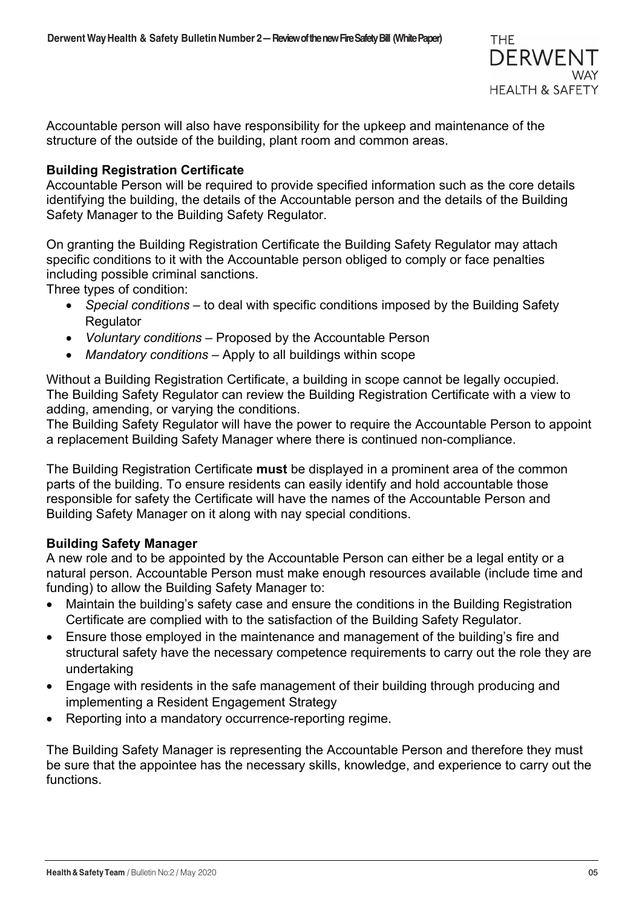

Accountable person will also have responsibility for the upkeep and maintenance of the structure of the outside of the building, plant room and common areas.

## **Building Registration Certificate**

Accountable Person will be required to provide specified information such as the core details identifying the building, the details of the Accountable person and the details of the Building Safety Manager to the Building Safety Regulator.

On granting the Building Registration Certificate the Building Safety Regulator may attach specific conditions to it with the Accountable person obliged to comply or face penalties including possible criminal sanctions.

Three types of condition:

- *Special conditions* to deal with specific conditions imposed by the Building Safety **Regulator**
- *Voluntary conditions*  Proposed by the Accountable Person
- *Mandatory conditions* Apply to all buildings within scope

Without a Building Registration Certificate, a building in scope cannot be legally occupied. The Building Safety Regulator can review the Building Registration Certificate with a view to adding, amending, or varying the conditions.

The Building Safety Regulator will have the power to require the Accountable Person to appoint a replacement Building Safety Manager where there is continued non-compliance.

The Building Registration Certificate **must** be displayed in a prominent area of the common parts of the building. To ensure residents can easily identify and hold accountable those responsible for safety the Certificate will have the names of the Accountable Person and Building Safety Manager on it along with nay special conditions.

## **Building Safety Manager**

A new role and to be appointed by the Accountable Person can either be a legal entity or a natural person. Accountable Person must make enough resources available (include time and funding) to allow the Building Safety Manager to:

- Maintain the building's safety case and ensure the conditions in the Building Registration Certificate are complied with to the satisfaction of the Building Safety Regulator.
- Ensure those employed in the maintenance and management of the building's fire and structural safety have the necessary competence requirements to carry out the role they are undertaking
- Engage with residents in the safe management of their building through producing and implementing a Resident Engagement Strategy
- Reporting into a mandatory occurrence-reporting regime.

The Building Safety Manager is representing the Accountable Person and therefore they must be sure that the appointee has the necessary skills, knowledge, and experience to carry out the functions.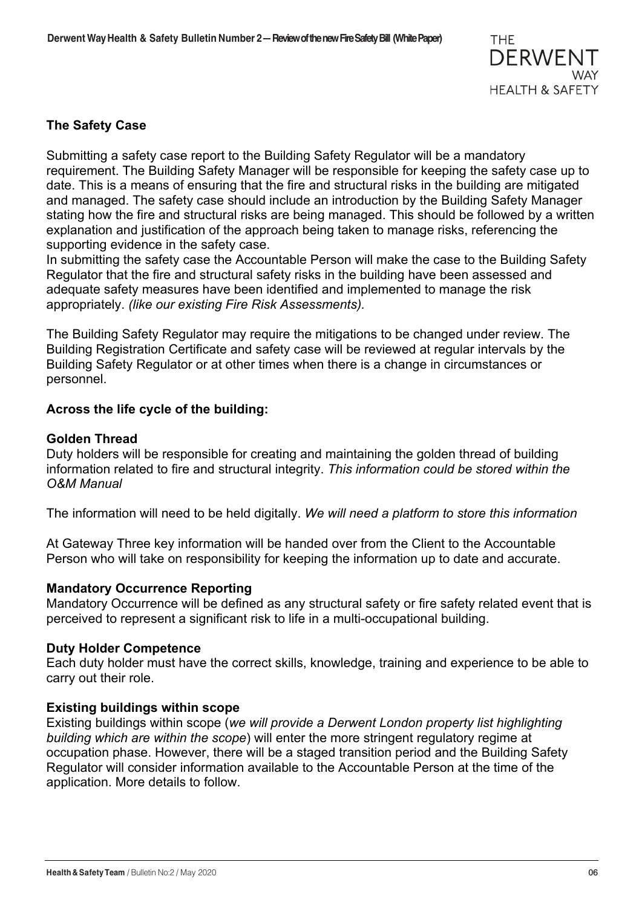

## **The Safety Case**

Submitting a safety case report to the Building Safety Regulator will be a mandatory requirement. The Building Safety Manager will be responsible for keeping the safety case up to date. This is a means of ensuring that the fire and structural risks in the building are mitigated and managed. The safety case should include an introduction by the Building Safety Manager stating how the fire and structural risks are being managed. This should be followed by a written explanation and justification of the approach being taken to manage risks, referencing the supporting evidence in the safety case.

In submitting the safety case the Accountable Person will make the case to the Building Safety Regulator that the fire and structural safety risks in the building have been assessed and adequate safety measures have been identified and implemented to manage the risk appropriately. *(like our existing Fire Risk Assessments).*

The Building Safety Regulator may require the mitigations to be changed under review. The Building Registration Certificate and safety case will be reviewed at regular intervals by the Building Safety Regulator or at other times when there is a change in circumstances or personnel.

## **Across the life cycle of the building:**

#### **Golden Thread**

Duty holders will be responsible for creating and maintaining the golden thread of building information related to fire and structural integrity. *This information could be stored within the O&M Manual* 

The information will need to be held digitally. *We will need a platform to store this information*

At Gateway Three key information will be handed over from the Client to the Accountable Person who will take on responsibility for keeping the information up to date and accurate.

#### **Mandatory Occurrence Reporting**

Mandatory Occurrence will be defined as any structural safety or fire safety related event that is perceived to represent a significant risk to life in a multi-occupational building.

#### **Duty Holder Competence**

Each duty holder must have the correct skills, knowledge, training and experience to be able to carry out their role.

#### **Existing buildings within scope**

Existing buildings within scope (*we will provide a Derwent London property list highlighting building which are within the scope*) will enter the more stringent regulatory regime at occupation phase. However, there will be a staged transition period and the Building Safety Regulator will consider information available to the Accountable Person at the time of the application. More details to follow.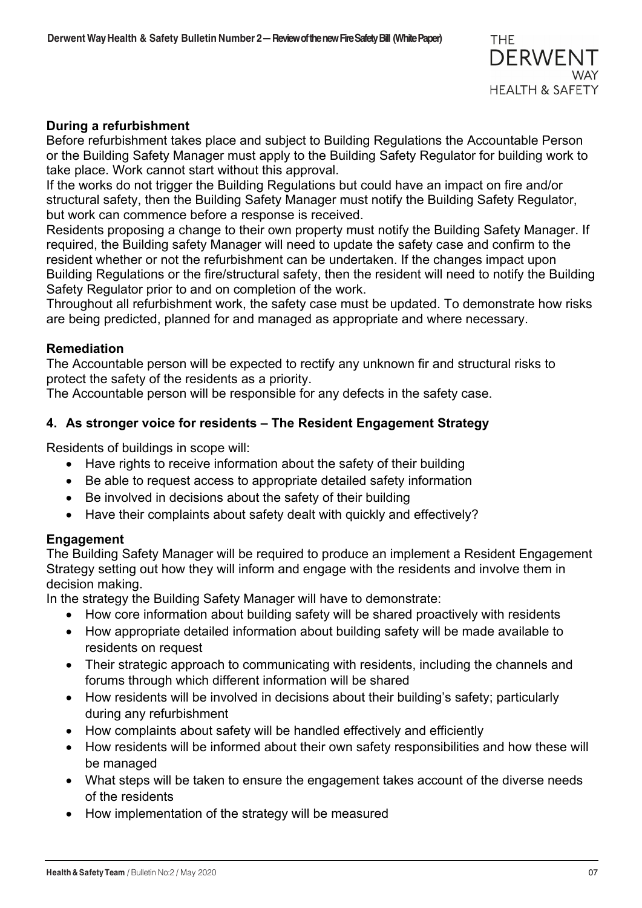

## **During a refurbishment**

Before refurbishment takes place and subject to Building Regulations the Accountable Person or the Building Safety Manager must apply to the Building Safety Regulator for building work to take place. Work cannot start without this approval.

If the works do not trigger the Building Regulations but could have an impact on fire and/or structural safety, then the Building Safety Manager must notify the Building Safety Regulator, but work can commence before a response is received.

Residents proposing a change to their own property must notify the Building Safety Manager. If required, the Building safety Manager will need to update the safety case and confirm to the resident whether or not the refurbishment can be undertaken. If the changes impact upon Building Regulations or the fire/structural safety, then the resident will need to notify the Building Safety Regulator prior to and on completion of the work.

Throughout all refurbishment work, the safety case must be updated. To demonstrate how risks are being predicted, planned for and managed as appropriate and where necessary.

#### **Remediation**

The Accountable person will be expected to rectify any unknown fir and structural risks to protect the safety of the residents as a priority.

The Accountable person will be responsible for any defects in the safety case.

#### **4. As stronger voice for residents – The Resident Engagement Strategy**

Residents of buildings in scope will:

- Have rights to receive information about the safety of their building
- Be able to request access to appropriate detailed safety information
- Be involved in decisions about the safety of their building
- Have their complaints about safety dealt with quickly and effectively?

#### **Engagement**

The Building Safety Manager will be required to produce an implement a Resident Engagement Strategy setting out how they will inform and engage with the residents and involve them in decision making.

In the strategy the Building Safety Manager will have to demonstrate:

- How core information about building safety will be shared proactively with residents
- How appropriate detailed information about building safety will be made available to residents on request
- Their strategic approach to communicating with residents, including the channels and forums through which different information will be shared
- How residents will be involved in decisions about their building's safety; particularly during any refurbishment
- How complaints about safety will be handled effectively and efficiently
- How residents will be informed about their own safety responsibilities and how these will be managed
- What steps will be taken to ensure the engagement takes account of the diverse needs of the residents
- How implementation of the strategy will be measured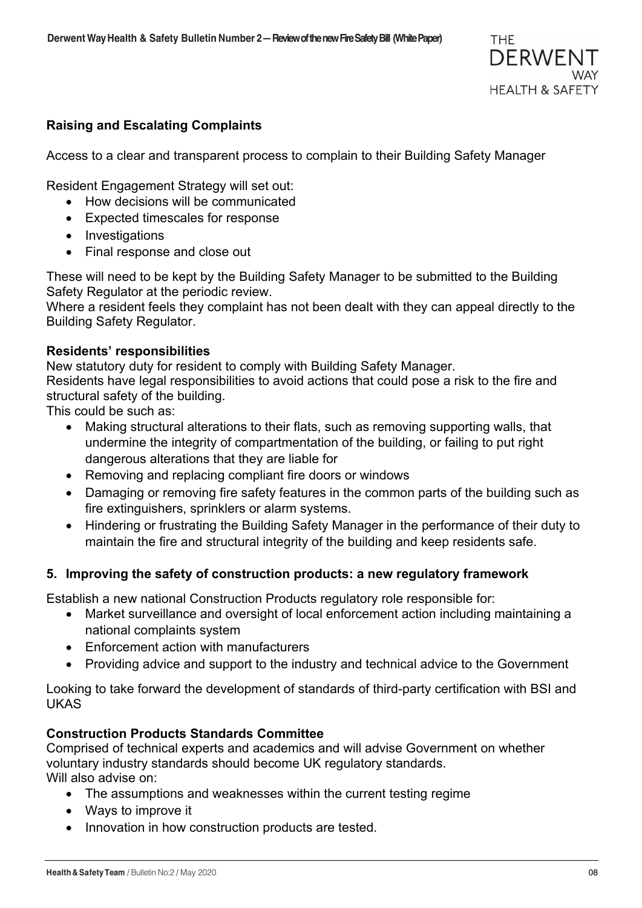## **Raising and Escalating Complaints**

Access to a clear and transparent process to complain to their Building Safety Manager

Resident Engagement Strategy will set out:

- How decisions will be communicated
- Expected timescales for response
- Investigations
- Final response and close out

These will need to be kept by the Building Safety Manager to be submitted to the Building Safety Regulator at the periodic review.

Where a resident feels they complaint has not been dealt with they can appeal directly to the Building Safety Regulator.

## **Residents' responsibilities**

New statutory duty for resident to comply with Building Safety Manager.

Residents have legal responsibilities to avoid actions that could pose a risk to the fire and structural safety of the building.

This could be such as:

- Making structural alterations to their flats, such as removing supporting walls, that undermine the integrity of compartmentation of the building, or failing to put right dangerous alterations that they are liable for
- Removing and replacing compliant fire doors or windows
- Damaging or removing fire safety features in the common parts of the building such as fire extinguishers, sprinklers or alarm systems.
- Hindering or frustrating the Building Safety Manager in the performance of their duty to maintain the fire and structural integrity of the building and keep residents safe.

## **5. Improving the safety of construction products: a new regulatory framework**

Establish a new national Construction Products regulatory role responsible for:

- Market surveillance and oversight of local enforcement action including maintaining a national complaints system
- Enforcement action with manufacturers
- Providing advice and support to the industry and technical advice to the Government

Looking to take forward the development of standards of third-party certification with BSI and UKAS

## **Construction Products Standards Committee**

Comprised of technical experts and academics and will advise Government on whether voluntary industry standards should become UK regulatory standards. Will also advise on:

- The assumptions and weaknesses within the current testing regime
- Ways to improve it
- Innovation in how construction products are tested.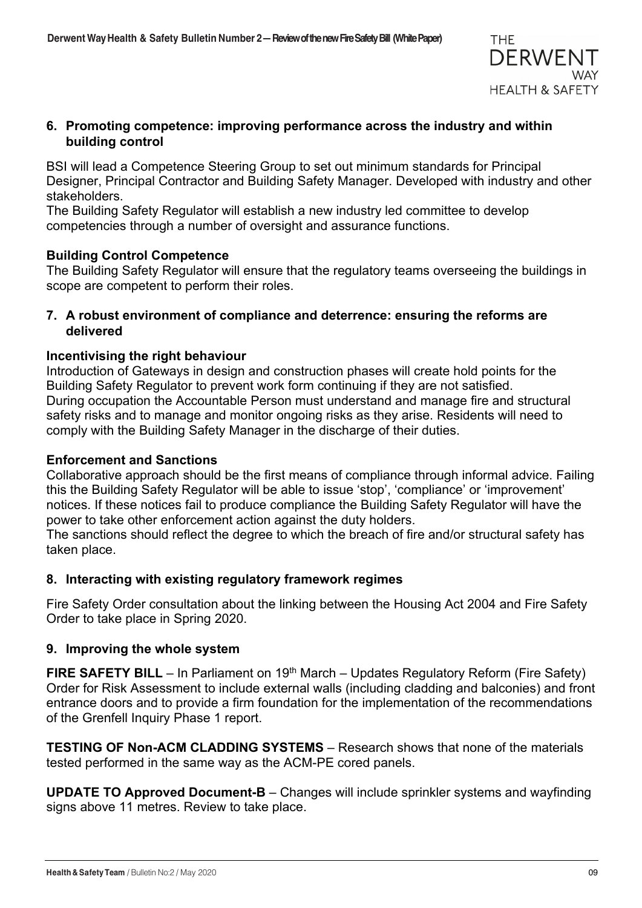

## **6. Promoting competence: improving performance across the industry and within building control**

BSI will lead a Competence Steering Group to set out minimum standards for Principal Designer, Principal Contractor and Building Safety Manager. Developed with industry and other stakeholders.

The Building Safety Regulator will establish a new industry led committee to develop competencies through a number of oversight and assurance functions.

## **Building Control Competence**

The Building Safety Regulator will ensure that the regulatory teams overseeing the buildings in scope are competent to perform their roles.

## **7. A robust environment of compliance and deterrence: ensuring the reforms are delivered**

## **Incentivising the right behaviour**

Introduction of Gateways in design and construction phases will create hold points for the Building Safety Regulator to prevent work form continuing if they are not satisfied. During occupation the Accountable Person must understand and manage fire and structural safety risks and to manage and monitor ongoing risks as they arise. Residents will need to comply with the Building Safety Manager in the discharge of their duties.

## **Enforcement and Sanctions**

Collaborative approach should be the first means of compliance through informal advice. Failing this the Building Safety Regulator will be able to issue 'stop', 'compliance' or 'improvement' notices. If these notices fail to produce compliance the Building Safety Regulator will have the power to take other enforcement action against the duty holders.

The sanctions should reflect the degree to which the breach of fire and/or structural safety has taken place.

## **8. Interacting with existing regulatory framework regimes**

Fire Safety Order consultation about the linking between the Housing Act 2004 and Fire Safety Order to take place in Spring 2020.

## **9. Improving the whole system**

**FIRE SAFETY BILL** – In Parliament on 19<sup>th</sup> March – Updates Regulatory Reform (Fire Safety) Order for Risk Assessment to include external walls (including cladding and balconies) and front entrance doors and to provide a firm foundation for the implementation of the recommendations of the Grenfell Inquiry Phase 1 report.

**TESTING OF Non-ACM CLADDING SYSTEMS** – Research shows that none of the materials tested performed in the same way as the ACM-PE cored panels.

**UPDATE TO Approved Document-B** – Changes will include sprinkler systems and wayfinding signs above 11 metres. Review to take place.